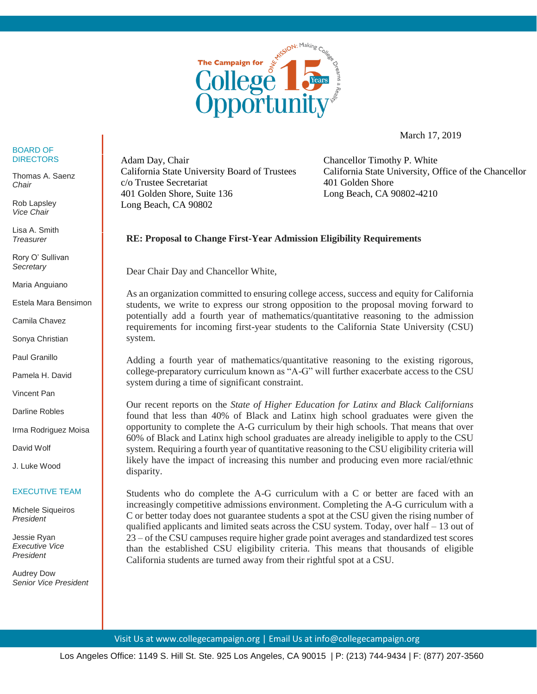

March 17, 2019

## BOARD OF DIRECTORS

Thomas A. Saenz *Chair*

Rob Lapsley *Vice Chair*

Lisa A. Smith *Treasurer*

Rory O' Sullivan *Secretary*

Maria Anguiano

Estela Mara Bensimon

Camila Chavez

Sonya Christian

Paul Granillo

Pamela H. David

Vincent Pan

Darline Robles

Irma Rodriguez Moisa

David Wolf

J. Luke Wood

## EXECUTIVE TEAM

Michele Siqueiros *President*

Jessie Ryan *Executive Vice President*

Audrey Dow *Senior Vice President*  Adam Day, Chair California State University Board of Trustees c/o Trustee Secretariat 401 Golden Shore, Suite 136 Long Beach, CA 90802

Chancellor Timothy P. White California State University, Office of the Chancellor 401 Golden Shore Long Beach, CA 90802-4210

## **RE: Proposal to Change First-Year Admission Eligibility Requirements**

Dear Chair Day and Chancellor White,

As an organization committed to ensuring college access, success and equity for California students, we write to express our strong opposition to the proposal moving forward to potentially add a fourth year of mathematics/quantitative reasoning to the admission requirements for incoming first-year students to the California State University (CSU) system.

Adding a fourth year of mathematics/quantitative reasoning to the existing rigorous, college-preparatory curriculum known as "A-G" will further exacerbate access to the CSU system during a time of significant constraint.

Our recent reports on the *State of Higher Education for Latinx and Black Californians* found that less than 40% of Black and Latinx high school graduates were given the opportunity to complete the A-G curriculum by their high schools. That means that over 60% of Black and Latinx high school graduates are already ineligible to apply to the CSU system. Requiring a fourth year of quantitative reasoning to the CSU eligibility criteria will likely have the impact of increasing this number and producing even more racial/ethnic disparity.

Students who do complete the A-G curriculum with a C or better are faced with an increasingly competitive admissions environment. Completing the A-G curriculum with a C or better today does not guarantee students a spot at the CSU given the rising number of qualified applicants and limited seats across the CSU system. Today, over half  $-13$  out of 23 – of the CSU campuses require higher grade point averages and standardized test scores than the established CSU eligibility criteria. This means that thousands of eligible California students are turned away from their rightful spot at a CSU.

Visit Us at www.collegecampaign.org | Email Us at info@collegecampaign.org

Los Angeles Office: 1149 S. Hill St. Ste. 925 Los Angeles, CA 90015 | P: (213) 744-9434 | F: (877) 207-3560